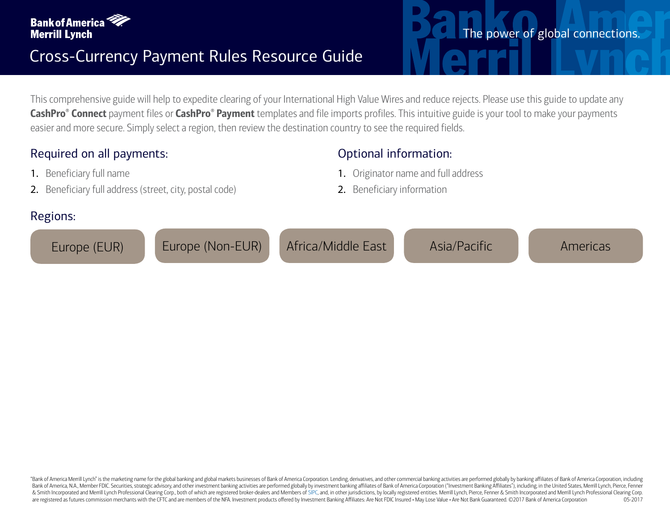

This comprehensive guide will help to expedite clearing of your International High Value Wires and reduce rejects. Please use this guide to update any  $\mathsf{CashPro}^{\circ}$   $\mathsf{Connect}$  payment files or  $\mathsf{CashPro}^{\circ}$   $\mathsf{Payment}$  templates and file imports profiles. This intuitive guide is your tool to make your payments easier and more secure. Simply select a region, then review the destination country to see the required fields.

Optional information:

2. Beneficiary information

1. Originator name and full address

## Required on all payments:

- 1. Beneficiary full name
- 2. Beneficiary full address (street, city, postal code)

## Regions:

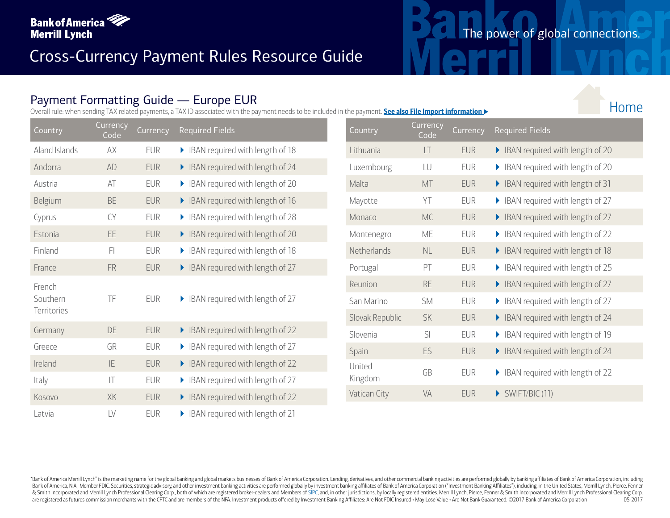

### Payment Formatting Guide — Europe EUR

Overall rule: when sending TAX related payments, a TAX ID associated with the payment needs to be included in the payment. **See also File Import information** 

| Country       | <b>Currency</b><br>Code | <b>Currency</b> | <b>Required Fields</b>               | Country         | <b>Currency</b><br>Code |
|---------------|-------------------------|-----------------|--------------------------------------|-----------------|-------------------------|
| Aland Islands | AX                      | <b>EUR</b>      | BAN required with length of 18       | Lithuania       | LT                      |
| Andorra       | <b>AD</b>               | <b>EUR</b>      | BAN required with length of 24       | Luxembourg      | LU                      |
| Austria       | AT                      | <b>EUR</b>      | BAN required with length of 20       | Malta           | MT                      |
| Belgium       | <b>BE</b>               | <b>EUR</b>      | BAN required with length of 16       | Mayotte         | YT                      |
| Cyprus        | <b>CY</b>               | <b>EUR</b>      | BAN required with length of 28       | Monaco          | <b>MC</b>               |
| Estonia       | <b>EE</b>               | <b>EUR</b>      | BAN required with length of 20       | Montenegro      | ME                      |
| Finland       | FI                      | <b>EUR</b>      | BAN required with length of 18       | Netherlands     | NL                      |
| France        | <b>FR</b>               | <b>EUR</b>      | BAN required with length of 27       | Portugal        | PT                      |
| French        |                         |                 |                                      | Reunion         | <b>RE</b>               |
| Southern      | TF                      | <b>EUR</b>      | IBAN required with length of 27<br>▶ | San Marino      | <b>SM</b>               |
| Territories   |                         |                 |                                      | Slovak Republic | <b>SK</b>               |
| Germany       | DE                      | <b>EUR</b>      | BAN required with length of 22       | Slovenia        | SI                      |
| Greece        | GR                      | <b>EUR</b>      | BAN required with length of 27       | Spain           | ES                      |
| Ireland       | IE                      | <b>EUR</b>      | BAN required with length of 22       | United          |                         |
| Italy         | $ \top$                 | <b>EUR</b>      | BAN required with length of 27       | Kingdom         | GB                      |
| Kosovo        | XK                      | <b>EUR</b>      | BAN required with length of 22       | Vatican City    | <b>VA</b>               |
| Latvia        | LV                      | <b>EUR</b>      | BAN required with length of 21       |                 |                         |

| Country           | <b>Currency</b><br>Code | Currency   | <b>Required Fields</b>               |
|-------------------|-------------------------|------------|--------------------------------------|
| Lithuania         | LT                      | <b>EUR</b> | BAN required with length of 20       |
| Luxembourg        | LU                      | <b>EUR</b> | IBAN required with length of 20      |
| Malta             | <b>MT</b>               | <b>EUR</b> | BAN required with length of 31       |
| Mayotte           | YΤ                      | <b>EUR</b> | IBAN required with length of 27      |
| Monaco            | <b>MC</b>               | <b>EUR</b> | BAN required with length of 27       |
| Montenegro        | МE                      | <b>EUR</b> | IBAN required with length of 22      |
| Netherlands       | <b>NL</b>               | <b>EUR</b> | BAN required with length of 18       |
| Portugal          | PT                      | <b>EUR</b> | IBAN required with length of 25      |
| Reunion           | <b>RE</b>               | <b>EUR</b> | BAN required with length of 27       |
| San Marino        | <b>SM</b>               | <b>EUR</b> | IBAN required with length of 27      |
| Slovak Republic   | <b>SK</b>               | <b>EUR</b> | IBAN required with length of 24<br>▶ |
| Slovenia          | SI                      | <b>EUR</b> | IBAN required with length of 19      |
| Spain             | ES                      | <b>EUR</b> | BAN required with length of 24       |
| United<br>Kingdom | GB                      | <b>EUR</b> | IBAN required with length of 22      |
| Vatican City      | <b>VA</b>               | <b>EUR</b> | $\triangleright$ SWIFT/BIC (11)      |

The power of global connections.

Home

"Bank of America Merrill Lynch" is the marketing name for the global banking and global markets businesses of Bank of America Corporation. Lending, derivatives, and other commercial banking activities are performed globall Bank of America, N.A., Member FDIC. Securities, strategic advisory, and other investment banking activities are performed globally by investment banking affiliates of Bank of America Corporation ("Investment Banking Affili & Smith Incorporated and Merrill Lynch Professional Clearing Corp., both of which are registered broker-dealers and Members of [SIPC,](http://www.sipc.org) and, in other jurisdictions, by locally registered entities. Merrill Lynch, Pierce, Fenne are registered as futures commission merchants with the CFTC and are members of the NFA. Investment products offered by Investment Banking Affiliates: Are Not FDIC Insured . May Lose Value . Are Not Bank Guaranteed. ©2017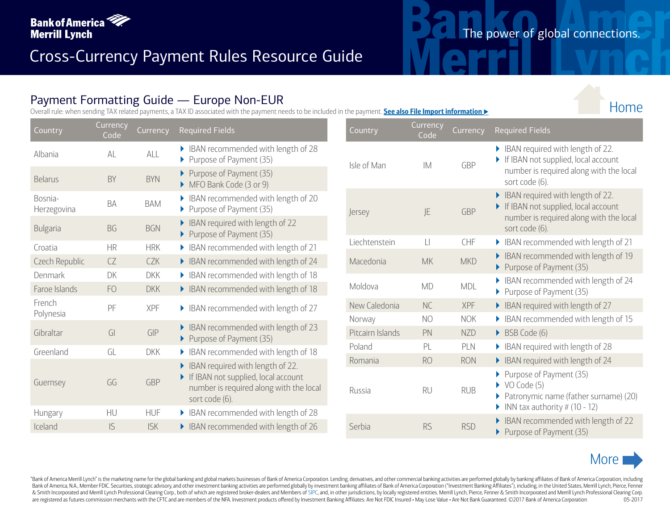

## Payment Formatting Guide — Europe Non-EUR

Overall rule: when sending TAX related payments, a TAX ID associated with the payment needs to be included in the payment. **See also File Import information** u

| Country                | Currency<br>Code | Currency   | <b>Required Fields</b>                                                                                                              | Country                    | Currency<br>Code     |
|------------------------|------------------|------------|-------------------------------------------------------------------------------------------------------------------------------------|----------------------------|----------------------|
| Albania                | AL               | ALL        | BAN recommended with length of 28<br>Purpose of Payment (35)                                                                        | Isle of Man                | IM.                  |
| <b>Belarus</b>         | BY               | <b>BYN</b> | Purpose of Payment (35)<br>MFO Bank Code (3 or 9)                                                                                   |                            |                      |
| Bosnia-<br>Herzegovina | BA               | <b>BAM</b> | BAN recommended with length of 20<br>Purpose of Payment (35)                                                                        | Jersey                     | JE                   |
| <b>Bulgaria</b>        | <b>BG</b>        | <b>BGN</b> | BAN required with length of 22<br>Purpose of Payment (35)                                                                           |                            |                      |
| Croatia                | <b>HR</b>        | <b>HRK</b> | BAN recommended with length of 21                                                                                                   | Liechtenstein              | $\Box$               |
| Czech Republic         | CZ               | <b>CZK</b> | BAN recommended with length of 24                                                                                                   | Macedonia                  | <b>MK</b>            |
| Denmark                | DK               | <b>DKK</b> | BAN recommended with length of 18                                                                                                   |                            |                      |
| Faroe Islands          | F <sub>O</sub>   | <b>DKK</b> | BAN recommended with length of 18                                                                                                   | Moldova                    | <b>MD</b>            |
| French<br>Polynesia    | PF               | <b>XPF</b> | BAN recommended with length of 27                                                                                                   | New Caledonia              | <b>NC</b>            |
| Gibraltar              | $\overline{G}$   | GIP        | BAN recommended with length of 23                                                                                                   | Norway<br>Pitcairn Islands | N <sub>O</sub><br>PN |
|                        |                  |            | Purpose of Payment (35)                                                                                                             | Poland                     | PL                   |
| Greenland              | GL               | <b>DKK</b> | BAN recommended with length of 18                                                                                                   | Romania                    | <b>RO</b>            |
| Guernsey               | GG               | <b>GBP</b> | BAN required with length of 22.<br>If IBAN not supplied, local account<br>number is required along with the local<br>sort code (6). | Russia                     | <b>RU</b>            |
| Hungary                | HU               | <b>HUF</b> | BAN recommended with length of 28                                                                                                   |                            |                      |
| Iceland                | S                | <b>ISK</b> | BAN recommended with length of 26                                                                                                   | Serbia                     | <b>RS</b>            |

| Country          | Currency<br>Code | Currency   | <b>Required Fields</b>                                                                                                               |
|------------------|------------------|------------|--------------------------------------------------------------------------------------------------------------------------------------|
| Isle of Man      | IM.              | <b>GBP</b> | IBAN required with length of 22.<br>If IBAN not supplied, local account<br>number is required along with the local<br>sort code (6). |
| Jersey           | JE               | <b>GBP</b> | BAN required with length of 22.<br>If IBAN not supplied, local account<br>number is required along with the local<br>sort code (6).  |
| Liechtenstein    | $\Box$           | <b>CHF</b> | IBAN recommended with length of 21<br>Þ                                                                                              |
| Macedonia        | <b>MK</b>        | <b>MKD</b> | IBAN recommended with length of 19<br>Purpose of Payment (35)<br>▶                                                                   |
| Moldova          | <b>MD</b>        | <b>MDL</b> | IBAN recommended with length of 24<br>▶<br>Purpose of Payment (35)                                                                   |
| New Caledonia    | <b>NC</b>        | <b>XPF</b> | BAN required with length of 27                                                                                                       |
| Norway           | N <sub>O</sub>   | <b>NOK</b> | IBAN recommended with length of 15<br>▶                                                                                              |
| Pitcairn Islands | PN               | <b>NZD</b> | BSB Code (6)<br>▶                                                                                                                    |
| Poland           | PL               | PLN        | IBAN required with length of 28                                                                                                      |
| Romania          | <b>RO</b>        | <b>RON</b> | IBAN required with length of 24<br>▶                                                                                                 |
| Russia           | <b>RU</b>        | <b>RUB</b> | Purpose of Payment (35)<br>VO Code (5)<br>Patronymic name (father surname) (20)<br>INN tax authority $# (10 - 12)$                   |
| Serbia           | <b>RS</b>        | <b>RSD</b> | IBAN recommended with length of 22<br>Purpose of Payment (35)                                                                        |



"Bank of America Merrill Lynch" is the marketing name for the global banking and global markets businesses of Bank of America Corporation. Lending, derivatives, and other commercial banking activities are performed globall Bank of America, N.A., Member FDIC. Securities, strategic advisory, and other investment banking activities are performed globally by investment banking affiliates of Bank of America Corporation ("Investment Banking Affili & Smith Incorporated and Merrill Lynch Professional Clearing Corp., both of which are registered broker-dealers and Members of [SIPC,](http://www.sipc.org) and, in other jurisdictions, by locally registered entities. Merrill Lynch, Pierce, Fenne are registered as futures commission merchants with the CFTC and are members of the NFA. Investment products offered by Investment Banking Affiliates: Are Not FDIC Insured . May Lose Value . Are Not Bank Guaranteed. @2017

## The power of global connections.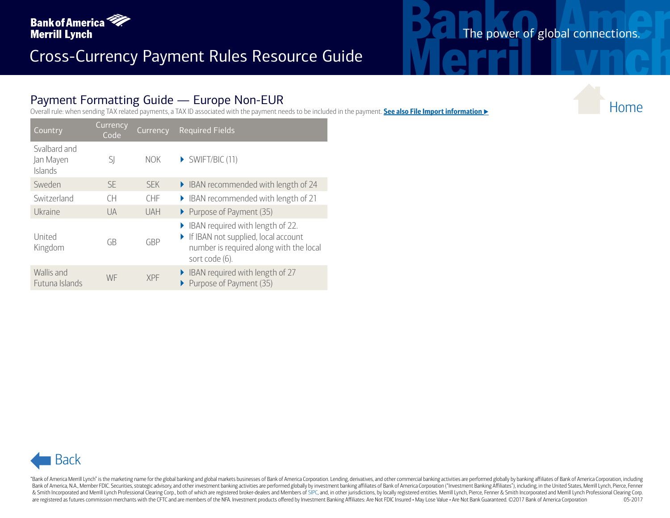

# The power of global connections.

#### Payment Formatting Guide — Europe Non-EUR

|                                      |                                          |            | $r$ ayment Formatting Guide $r =$ Luibpe Non-Lon<br>Overall rule: when sending TAX related payments, a TAX ID associated with the payment needs to be included in the payment. See also File Import information |
|--------------------------------------|------------------------------------------|------------|-----------------------------------------------------------------------------------------------------------------------------------------------------------------------------------------------------------------|
| Country                              | Currency<br>Code                         | Currency   | <b>Required Fields</b>                                                                                                                                                                                          |
| Svalbard and<br>Jan Mayen<br>Islands | SJ                                       | <b>NOK</b> | $\triangleright$ SWIFT/BIC (11)                                                                                                                                                                                 |
| Sweden                               | $\mathsf{SE}\xspace$                     | <b>SEK</b> | BAN recommended with length of 24                                                                                                                                                                               |
| Switzerland                          | $\mathsf{CH}% \left( \mathcal{M}\right)$ | CHF        | BAN recommended with length of 21                                                                                                                                                                               |
| Ukraine                              | UA                                       | UAH        | Purpose of Payment (35)                                                                                                                                                                                         |
| United<br>Kingdom                    | GB                                       | GBP        | BAN required with length of 22.<br>If IBAN not supplied, local account<br>number is required along with the local<br>sort code (6).                                                                             |
| Wallis and<br>Futuna Islands         | WF                                       | XPF        | BAN required with length of 27<br>Purpose of Payment (35)                                                                                                                                                       |
|                                      |                                          |            |                                                                                                                                                                                                                 |
|                                      |                                          |            |                                                                                                                                                                                                                 |
|                                      |                                          |            |                                                                                                                                                                                                                 |
|                                      |                                          |            |                                                                                                                                                                                                                 |
|                                      |                                          |            |                                                                                                                                                                                                                 |
|                                      |                                          |            |                                                                                                                                                                                                                 |
|                                      |                                          |            |                                                                                                                                                                                                                 |
|                                      |                                          |            |                                                                                                                                                                                                                 |
|                                      |                                          |            |                                                                                                                                                                                                                 |
|                                      |                                          |            |                                                                                                                                                                                                                 |
| <b>Back</b>                          |                                          |            |                                                                                                                                                                                                                 |



"Bank of America Merrill Lynch" is the marketing name for the global banking and global markets businesses of Bank of America Corporation. Lending, derivatives, and other commercial banking activities are performed globall Bank of America, N.A., Member FDIC. Securities, strategic advisory, and other investment banking activities are performed globally by investment banking affiliates of Bank of America Corporation ("Investment Banking Affili & Smith Incorporated and Merrill Lynch Professional Clearing Corp., both of which are registered broker-dealers and Members of [SIPC,](http://www.sipc.org) and, in other jurisdictions, by locally registered entities. Merrill Lynch, Pierce, Fenne are registered as futures commission merchants with the CFTC and are members of the NFA. Investment products offered by Investment Banking Affiliates: Are Not FDIC Insured . May Lose Value . Are Not Bank Guaranteed. @2017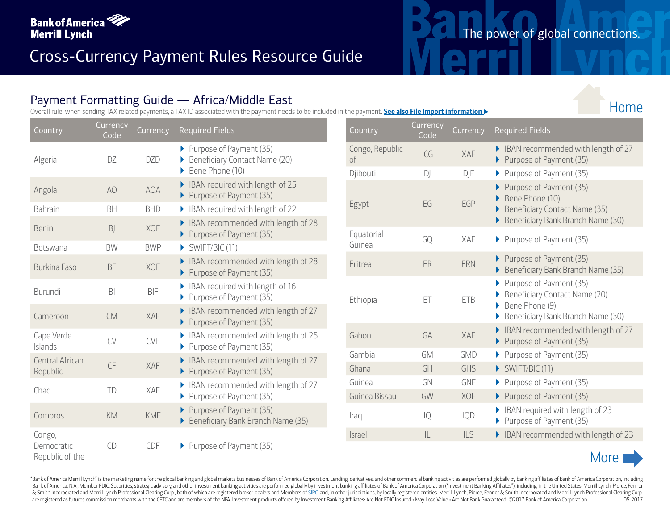

## Payment Formatting Guide — Africa/Middle East

Overall rule: when sending TAX related payments, a TAX ID associated with the payment needs to be included in the payment. **See also File Import information** u

| Country                       | Currency<br>Code | Currency   | Required Fields                                                 | Country               | Currency<br>Code |
|-------------------------------|------------------|------------|-----------------------------------------------------------------|-----------------------|------------------|
| Algeria                       | DZ               | <b>DZD</b> | Purpose of Payment (35)<br>Beneficiary Contact Name (20)        | Congo, Republic<br>of | CG               |
|                               |                  |            | Bene Phone (10)                                                 | Djibouti              | DJ               |
| Angola                        | A <sub>O</sub>   | <b>AOA</b> | IBAN required with length of 25<br>Purpose of Payment (35)      |                       |                  |
| <b>Bahrain</b>                | <b>BH</b>        | <b>BHD</b> | BAN required with length of 22                                  | Egypt                 | EG               |
| <b>Benin</b>                  | BJ               | <b>XOF</b> | BAN recommended with length of 28<br>Purpose of Payment (35)    | Equatorial            | GQ               |
| <b>Botswana</b>               | BW               | <b>BWP</b> | SWIFT/BIC (11)                                                  | Guinea                |                  |
| <b>Burkina Faso</b>           | <b>BF</b>        | <b>XOF</b> | BAN recommended with length of 28<br>Purpose of Payment (35)    | Eritrea               | ER               |
| Burundi                       | B <sub>l</sub>   | <b>BIF</b> | BAN required with length of 16<br>Purpose of Payment (35)       | Ethiopia              | ET               |
| Cameroon                      | <b>CM</b>        | XAF        | BAN recommended with length of 27<br>Purpose of Payment (35)    |                       |                  |
| Cape Verde<br>Islands         | CV               | CVE        | • IBAN recommended with length of 25<br>Purpose of Payment (35) | Gabon                 | GA               |
| Central African               |                  |            | BAN recommended with length of 27                               | Gambia                | <b>GM</b>        |
| Republic                      | CF               | XAF        | Purpose of Payment (35)                                         | Ghana                 | GH               |
| Chad                          | TD               | XAF        | • IBAN recommended with length of 27                            | Guinea                | GN               |
|                               |                  |            | Purpose of Payment (35)<br>Þ.                                   | Guinea Bissau         | GW               |
| Comoros                       | KM               | <b>KMF</b> | Purpose of Payment (35)<br>Beneficiary Bank Branch Name (35)    | Iraq                  | IQ               |
| Congo,                        |                  |            |                                                                 | Israel                | L                |
| Democratic<br>Republic of the | CD               | CDF        | Purpose of Payment (35)                                         |                       |                  |

| Country                          | Currency<br>Code | Currency   | <b>Required Fields</b>                                                                                                  |
|----------------------------------|------------------|------------|-------------------------------------------------------------------------------------------------------------------------|
| Congo, Republic<br><sub>of</sub> | CG               | XAF        | ▶ IBAN recommended with length of 27<br>Purpose of Payment (35)                                                         |
| Djibouti                         | D                | DJF        | Purpose of Payment (35)                                                                                                 |
| Egypt                            | EG               | EGP        | Purpose of Payment (35)<br>Bene Phone (10)<br><b>Beneficiary Contact Name (35)</b><br>Beneficiary Bank Branch Name (30) |
| Equatorial<br>Guinea             | GO               | <b>XAF</b> | Purpose of Payment (35)                                                                                                 |
| Eritrea                          | ER               | ERN        | Purpose of Payment (35)<br>▶<br>Beneficiary Bank Branch Name (35)                                                       |
| Ethiopia                         | ET               | <b>ETB</b> | Purpose of Payment (35)<br>Beneficiary Contact Name (20)<br>Bene Phone (9)<br>Beneficiary Bank Branch Name (30)         |
| Gabon                            | GA               | XAF        | IBAN recommended with length of 27<br>Purpose of Payment (35)                                                           |
| Gambia                           | <b>GM</b>        | GMD        | Purpose of Payment (35)                                                                                                 |
| Ghana                            | GH               | GHS        | SWIFT/BIC (11)                                                                                                          |
| Guinea                           | GN               | <b>GNF</b> | Purpose of Payment (35)                                                                                                 |
| Guinea Bissau                    | GW               | <b>XOF</b> | Purpose of Payment (35)                                                                                                 |
| Iraq                             | IQ               | IQD        | IBAN required with length of 23<br>Purpose of Payment (35)                                                              |
| <b>Israel</b>                    | IL               | ILS        | BAN recommended with length of 23                                                                                       |



"Bank of America Merrill Lynch" is the marketing name for the global banking and global markets businesses of Bank of America Corporation. Lending, derivatives, and other commercial banking activities are performed globall Bank of America, N.A., Member FDIC. Securities, strategic advisory, and other investment banking activities are performed globally by investment banking affiliates of Bank of America Corporation ("Investment Banking Affili & Smith Incorporated and Merrill Lynch Professional Clearing Corp., both of which are registered broker-dealers and Members of [SIPC,](http://www.sipc.org) and, in other jurisdictions, by locally registered entities. Merrill Lynch, Pierce, Fenne are registered as futures commission merchants with the CFTC and are members of the NFA. Investment products offered by Investment Banking Affiliates: Are Not FDIC Insured . May Lose Value . Are Not Bank Guaranteed. ©2017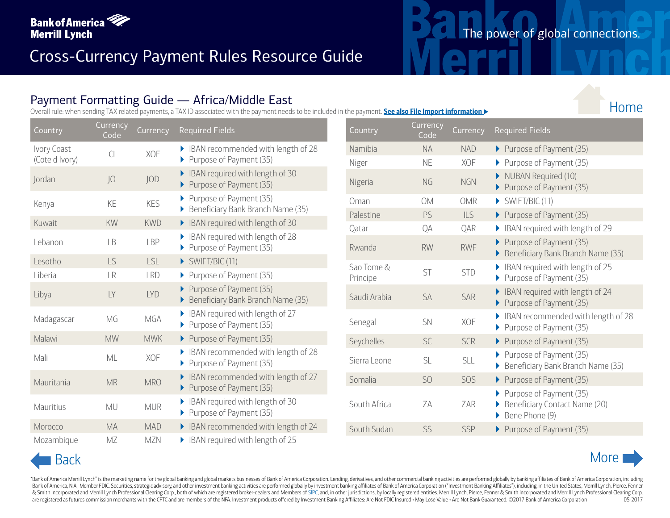

## Payment Formatting Guide — Africa/Middle East

Overall rule: when sending TAX related payments, a TAX ID associated with the payment needs to be included in the payment. **See also File Import information** u

| Country        | Currency<br>Code | Currency   | <b>Required Fields</b>                                            | Country           | Currency<br>Code |
|----------------|------------------|------------|-------------------------------------------------------------------|-------------------|------------------|
| Ivory Coast    | $\overline{C}$   | XOF        | • IBAN recommended with length of 28                              | Namibia           | <b>NA</b>        |
| (Cote d Ivory) |                  |            | Purpose of Payment (35)                                           | Niger             | <b>NE</b>        |
| Jordan         | JO               | <b>JOD</b> | BAN required with length of 30<br>Purpose of Payment (35)         | Nigeria           | NG               |
| Kenya          | KE               | <b>KES</b> | Purpose of Payment (35)<br>Beneficiary Bank Branch Name (35)<br>▶ | Oman<br>Palestine | <b>OM</b><br>PS  |
| Kuwait         | KW               | <b>KWD</b> | BAN required with length of 30                                    | Qatar             | QA               |
| Lebanon        | <b>LB</b>        | <b>LBP</b> | BAN required with length of 28<br>Purpose of Payment (35)         | Rwanda            | <b>RW</b>        |
| Lesotho        | <b>LS</b>        | <b>LSL</b> | SWIFT/BIC (11)                                                    | Sao Tome &        |                  |
| Liberia        | LR               | <b>LRD</b> | Purpose of Payment (35)                                           | Principe          | ST               |
| Libya          | LY               | <b>LYD</b> | Purpose of Payment (35)<br>Beneficiary Bank Branch Name (35)      | Saudi Arabia      | <b>SA</b>        |
| Madagascar     | MG               | MGA        | IBAN required with length of 27<br>Purpose of Payment (35)        | Senegal           | <b>SN</b>        |
| Malawi         | <b>MW</b>        | <b>MWK</b> | Purpose of Payment (35)                                           | Seychelles        | <b>SC</b>        |
| Mali           | ML               | XOF        | BAN recommended with length of 28<br>▶ Purpose of Payment (35)    | Sierra Leone      | <b>SL</b>        |
| Mauritania     | <b>MR</b>        | <b>MRO</b> | BAN recommended with length of 27<br>Purpose of Payment (35)      | Somalia           | S <sub>O</sub>   |
| Mauritius      | <b>MU</b>        | <b>MUR</b> | BAN required with length of 30<br>Purpose of Payment (35)         | South Africa      | ZΑ               |
| Morocco        | <b>MA</b>        | <b>MAD</b> | BAN recommended with length of 24                                 | South Sudan       | SS               |
| Mozambique     | MZ               | <b>MZN</b> | BAN required with length of 25                                    |                   |                  |

| Country                | Currency<br>Code | Currency   | <b>Required Fields</b>                                                     |
|------------------------|------------------|------------|----------------------------------------------------------------------------|
| Namibia                | <b>NA</b>        | <b>NAD</b> | ▶ Purpose of Payment (35)                                                  |
| Niger                  | <b>NE</b>        | <b>XOF</b> | Purpose of Payment (35)                                                    |
| Nigeria                | <b>NG</b>        | <b>NGN</b> | NUBAN Required (10)<br>Purpose of Payment (35)                             |
| Oman                   | <b>OM</b>        | <b>OMR</b> | $\triangleright$ SWIFT/BIC (11)                                            |
| Palestine              | PS               | <b>ILS</b> | Purpose of Payment (35)                                                    |
| Qatar                  | QA               | QAR        | IBAN required with length of 29                                            |
| Rwanda                 | <b>RW</b>        | <b>RWF</b> | Purpose of Payment (35)<br>Beneficiary Bank Branch Name (35)               |
| Sao Tome &<br>Principe | ST               | <b>STD</b> | IBAN required with length of 25<br>Purpose of Payment (35)                 |
| Saudi Arabia           | <b>SA</b>        | <b>SAR</b> | IBAN required with length of 24<br>Purpose of Payment (35)                 |
| Senegal                | <b>SN</b>        | <b>XOF</b> | IBAN recommended with length of 28<br>Purpose of Payment (35)              |
| Seychelles             | <b>SC</b>        | <b>SCR</b> | Purpose of Payment (35)                                                    |
| Sierra Leone           | <b>SL</b>        | <b>SLL</b> | Purpose of Payment (35)<br>Beneficiary Bank Branch Name (35)               |
| Somalia                | S <sub>O</sub>   | SOS        | Purpose of Payment (35)                                                    |
| South Africa           | ΖA               | ZAR        | Purpose of Payment (35)<br>Beneficiary Contact Name (20)<br>Bene Phone (9) |
| South Sudan            | SS               | <b>SSP</b> | Purpose of Payment (35)                                                    |

"Bank of America Merrill Lynch" is the marketing name for the global banking and global markets businesses of Bank of America Corporation. Lending, derivatives, and other commercial banking activities are performed globall Bank of America, N.A., Member FDIC. Securities, strategic advisory, and other investment banking activities are performed globally by investment banking affiliates of Bank of America Corporation ("Investment Banking Affili & Smith Incorporated and Merrill Lynch Professional Clearing Corp., both of which are registered broker-dealers and Members of [SIPC,](http://www.sipc.org) and, in other jurisdictions, by locally registered entities. Merrill Lynch, Pierce, Fenne are registered as futures commission merchants with the CFTC and are members of the NFA. Investment products offered by Investment Banking Affiliates: Are Not FDIC Insured . May Lose Value . Are Not Bank Guaranteed. @2017

## The power of global connections.

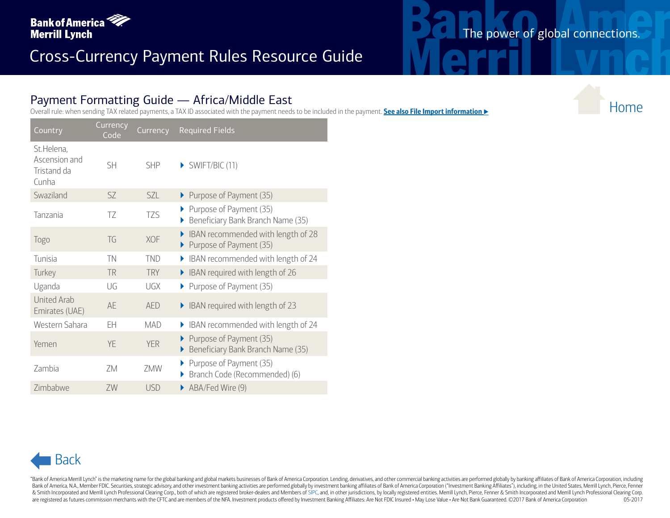

## The power of global connections.

#### Payment Formatting Guide — Africa/Middle East

Overall rule: when sending TAX related payments, a TAX ID associated with the payment needs to be included in the payment. **See also File Import information** u

| Country                                             | <b>Currency</b><br>Code | Currency   | <b>Required Fields</b>                                             |
|-----------------------------------------------------|-------------------------|------------|--------------------------------------------------------------------|
| St.Helena,<br>Ascension and<br>Tristand da<br>Cunha | <b>SH</b>               | <b>SHP</b> | $\triangleright$ SWIFT/BIC (11)                                    |
| Swaziland                                           | SZ.                     | SZ         | ▶ Purpose of Payment (35)                                          |
| Tanzania                                            | TZ                      | TZS        | Purpose of Payment (35)<br>▶<br>Beneficiary Bank Branch Name (35)  |
| Togo                                                | TG                      | <b>XOF</b> | IBAN recommended with length of 28<br>Purpose of Payment (35)<br>▶ |
| Tunisia                                             | TN                      | <b>TND</b> | IBAN recommended with length of 24                                 |
| Turkey                                              | <b>TR</b>               | <b>TRY</b> | IBAN required with length of 26<br>▶                               |
| Uganda                                              | $\bigcup G$             | UGX        | Purpose of Payment (35)                                            |
| <b>United Arab</b><br>Emirates (UAE)                | AE                      | <b>AED</b> | IBAN required with length of 23                                    |
| Western Sahara                                      | EΗ                      | <b>MAD</b> | IBAN recommended with length of 24                                 |
| Yemen                                               | YE                      | <b>YER</b> | Purpose of Payment (35)<br>Beneficiary Bank Branch Name (35)       |
| <b>Zambia</b>                                       | ZM                      | 7MW        | Purpose of Payment (35)<br>Branch Code (Recommended) (6)           |
| Zimbabwe                                            | ZW                      | <b>USD</b> | ABA/Fed Wire (9)                                                   |



"Bank of America Merrill Lynch" is the marketing name for the global banking and global markets businesses of Bank of America Corporation. Lending, derivatives, and other commercial banking activities are performed globall Bank of America, N.A., Member FDIC. Securities, strategic advisory, and other investment banking activities are performed globally by investment banking affiliates of Bank of America Corporation ("Investment Banking Affili & Smith Incorporated and Merrill Lynch Professional Clearing Corp., both of which are registered broker-dealers and Members of [SIPC,](http://www.sipc.org) and, in other jurisdictions, by locally registered entities. Merrill Lynch, Pierce, Fenne are registered as futures commission merchants with the CFTC and are members of the NFA. Investment products offered by Investment Banking Affiliates: Are Not FDIC Insured . May Lose Value . Are Not Bank Guaranteed. ©2017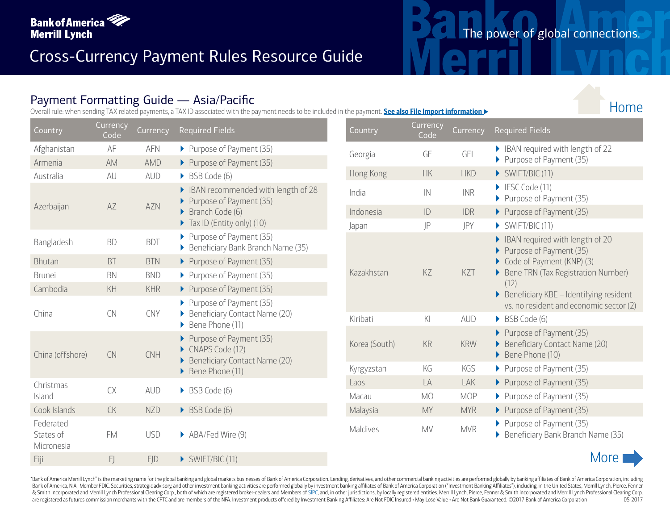

#### Payment Formatting Guide — Asia/Pacific

Overall rule: when sending TAX related payments, a TAX ID associated with the payment needs to be included in the payment. **See also File Import information** 

| Country                              | Currency<br>Code | Currency   | <b>Required Fields</b>                                                      | Country       | Currency<br>Code |
|--------------------------------------|------------------|------------|-----------------------------------------------------------------------------|---------------|------------------|
| Afghanistan                          | AF               | <b>AFN</b> | Purpose of Payment (35)                                                     | Georgia       | GE               |
| Armenia                              | AM               | <b>AMD</b> | Purpose of Payment (35)                                                     |               |                  |
| Australia                            | AU               | <b>AUD</b> | BSB Code (6)                                                                | Hong Kong     | <b>HK</b>        |
| Azerbaijan                           | AZ               | AZN        | BAN recommended with length of 28<br>Purpose of Payment (35)                | India         | $\mathsf{IN}$    |
|                                      |                  |            | Branch Code (6)                                                             | Indonesia     | ID               |
|                                      |                  |            | $\triangleright$ Tax ID (Entity only) (10)                                  | Japan         | JP               |
| Bangladesh                           | <b>BD</b>        | <b>BDT</b> | Purpose of Payment (35)<br>Beneficiary Bank Branch Name (35)                |               |                  |
| <b>Bhutan</b>                        | <b>BT</b>        | <b>BTN</b> | Purpose of Payment (35)                                                     |               |                  |
| <b>Brunei</b>                        | <b>BN</b>        | <b>BND</b> | Purpose of Payment (35)                                                     | Kazakhstan    | KZ               |
| Cambodia                             | KH               | KHR        | Purpose of Payment (35)                                                     |               |                  |
| China                                | <b>CN</b>        | CNY        | Purpose of Payment (35)<br>Beneficiary Contact Name (20)<br>Bene Phone (11) | Kiribati      | KI               |
| China (offshore)                     | <b>CN</b>        | <b>CNH</b> | Purpose of Payment (35)<br>CNAPS Code (12)<br>Beneficiary Contact Name (20) | Korea (South) | KR               |
|                                      |                  |            | Bene Phone (11)                                                             | Kyrgyzstan    | KG               |
| Christmas                            |                  |            |                                                                             | Laos          | LA               |
| Island                               | CX               | <b>AUD</b> | BSB Code (6)                                                                | Macau         | <b>MO</b>        |
| Cook Islands                         | <b>CK</b>        | <b>NZD</b> | BSB Code (6)                                                                | Malaysia      | <b>MY</b>        |
| Federated<br>States of<br>Micronesia | <b>FM</b>        | <b>USD</b> | ABA/Fed Wire (9)                                                            | Maldives      | <b>MV</b>        |
| Fiji                                 | FJ               | <b>FID</b> | $\triangleright$ SWIFT/BIC (11)                                             |               |                  |

| Country       | <b>Currency</b><br>Code | Currency   | <b>Required Fields</b>                                                                                                                                                                                                     |
|---------------|-------------------------|------------|----------------------------------------------------------------------------------------------------------------------------------------------------------------------------------------------------------------------------|
| Georgia       | <b>GE</b>               | GEL        | BAN required with length of 22<br>Purpose of Payment (35)                                                                                                                                                                  |
| Hong Kong     | <b>HK</b>               | <b>HKD</b> | SWIFT/BIC (11)                                                                                                                                                                                                             |
| India         | IN                      | <b>INR</b> | IFSC Code (11)<br>Purpose of Payment (35)                                                                                                                                                                                  |
| Indonesia     | ID                      | <b>IDR</b> | Purpose of Payment (35)                                                                                                                                                                                                    |
| Japan         | JP                      | JPY        | $\triangleright$ SWIFT/BIC (11)                                                                                                                                                                                            |
| Kazakhstan    | KZ                      | KZT        | IBAN required with length of 20<br>Purpose of Payment (35)<br>Code of Payment (KNP) (3)<br>Bene TRN (Tax Registration Number)<br>(12)<br>Beneficiary KBE - Identifying resident<br>vs. no resident and economic sector (2) |
| Kiribati      | KI                      | <b>AUD</b> | BSB Code (6)                                                                                                                                                                                                               |
| Korea (South) | <b>KR</b>               | <b>KRW</b> | Purpose of Payment (35)<br>Beneficiary Contact Name (20)<br>Bene Phone (10)                                                                                                                                                |
| Kyrgyzstan    | KG                      | KGS        | Purpose of Payment (35)                                                                                                                                                                                                    |
| Laos          | LA                      | LAK        | Purpose of Payment (35)                                                                                                                                                                                                    |
| Macau         | <b>MO</b>               | <b>MOP</b> | Purpose of Payment (35)                                                                                                                                                                                                    |
| Malaysia      | <b>MY</b>               | <b>MYR</b> | Purpose of Payment (35)                                                                                                                                                                                                    |
| Maldives      | <b>MV</b>               | <b>MVR</b> | Purpose of Payment (35)<br>Beneficiary Bank Branch Name (35)                                                                                                                                                               |



"Bank of America Merrill Lynch" is the marketing name for the global banking and global markets businesses of Bank of America Corporation. Lending, derivatives, and other commercial banking activities are performed globall Bank of America, N.A., Member FDIC. Securities, strategic advisory, and other investment banking activities are performed globally by investment banking affiliates of Bank of America Corporation ("Investment Banking Affili & Smith Incorporated and Merrill Lynch Professional Clearing Corp., both of which are registered broker-dealers and Members of [SIPC,](http://www.sipc.org) and, in other jurisdictions, by locally registered entities. Merrill Lynch, Pierce, Fenne are registered as futures commission merchants with the CFTC and are members of the NFA. Investment products offered by Investment Banking Affiliates: Are Not FDIC Insured . May Lose Value . Are Not Bank Guaranteed. ©2017

## The power of global connections.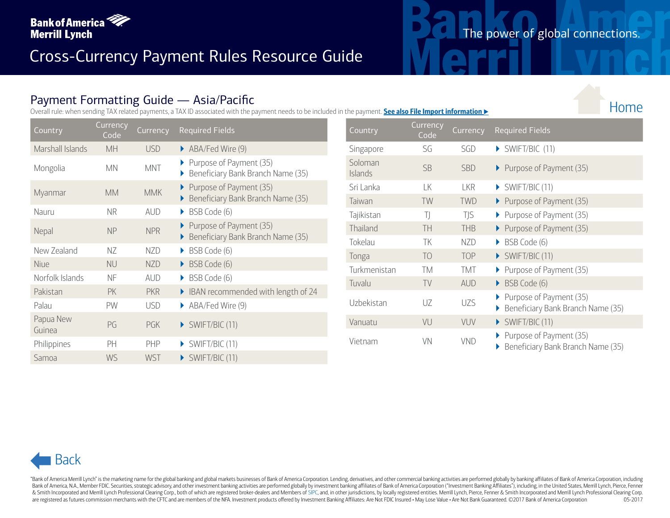

#### Payment Formatting Guide — Asia/Pacific

Overall rule: when sending TAX related payments, a TAX ID associated with the payment needs to be included in the payment. **See also File Import information** u

Country Currency<br>Code arrency Currency Required Fields Control Country Currency Currency<br>Code Country Code Marshall Islands MH USD ABA/Fed Wire (9) Mongolia MN MNT Purpose of Payment (35) Beneficiary Bank Branch Name (35) Myanmar MM MMK Purpose of Payment (35) Beneficiary Bank Branch Name (35) Nauru NR AUD ▶ BSB Code (6) Nepal NP NPR Purpose of Payment (35) Beneficiary Bank Branch Name (35) New Zealand NZ NZD ▶ BSB Code (6) Niue NU NZD ▶ BSB Code (6) Norfolk Islands NF AUD BSB Code (6) Pakistan PK PKR **EXAM** IBAN recommended with length of 24 Palau PW USD ▶ ABA/Fed Wire (9) Papua New Fapua New PG PGK > SWIFT/BIC (11) Philippines PH PHP > SWIFT/BIC (11) Samoa WS WST > SWIFT/BIC (11)

| Country                   | Currency<br>Co <sub>de</sub> | Currency   | <b>Required Fields</b>                                       |
|---------------------------|------------------------------|------------|--------------------------------------------------------------|
| Singapore                 | SG                           | SGD        | $\triangleright$ SWIFT/BIC (11)                              |
| Soloman<br><b>Islands</b> | <b>SB</b>                    | <b>SBD</b> | Purpose of Payment (35)                                      |
| Sri Lanka                 | LK                           | <b>LKR</b> | SWIFT/BIC (11)                                               |
| Taiwan                    | TW                           | <b>TWD</b> | Purpose of Payment (35)                                      |
| Tajikistan                | T)                           | TJS        | Purpose of Payment (35)                                      |
| Thailand                  | TH                           | <b>THB</b> | Purpose of Payment (35)                                      |
| Tokelau                   | ТK                           | <b>NZD</b> | BSB Code (6)                                                 |
| Tonga                     | TO                           | <b>TOP</b> | SWIFT/BIC (11)                                               |
| Turkmenistan              | ТM                           | TMT        | Purpose of Payment (35)                                      |
| Tuvalu                    | TV                           | <b>AUD</b> | BSB Code (6)                                                 |
| Uzbekistan                | UZ.                          | <b>UZS</b> | Purpose of Payment (35)<br>Beneficiary Bank Branch Name (35) |
| Vanuatu                   | VU                           | VUV        | SWIFT/BIC (11)                                               |
| Vietnam                   | VN                           | VND        | Purpose of Payment (35)<br>Beneficiary Bank Branch Name (35) |

# Back

"Bank of America Merrill Lynch" is the marketing name for the global banking and global markets businesses of Bank of America Corporation. Lending, derivatives, and other commercial banking activities are performed globall Bank of America, N.A., Member FDIC. Securities, strategic advisory, and other investment banking activities are performed globally by investment banking affiliates of Bank of America Corporation ("Investment Banking Affili & Smith Incorporated and Merrill Lynch Professional Clearing Corp., both of which are registered broker-dealers and Members of [SIPC,](http://www.sipc.org) and, in other jurisdictions, by locally registered entities. Merrill Lynch, Pierce, Fenne are registered as futures commission merchants with the CFTC and are members of the NFA. Investment products offered by Investment Banking Affiliates: Are Not FDIC Insured . May Lose Value . Are Not Bank Guaranteed. ©2017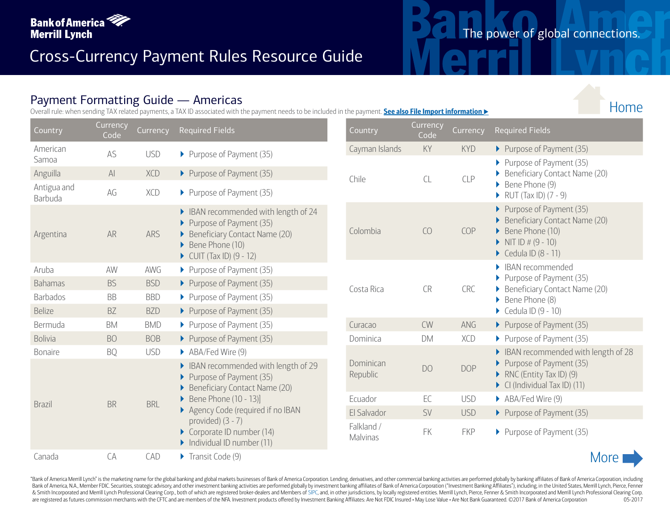

#### Payment Formatting Guide — Americas

Overall rule: when sending TAX related payments, a TAX ID associated with the payment needs to be included in the payment. **See also File Import information** u

| Country                | Currency<br>Code | Currency   | <b>Required Fields</b>                                                                                                                                      | Country                | Currency<br>Code |
|------------------------|------------------|------------|-------------------------------------------------------------------------------------------------------------------------------------------------------------|------------------------|------------------|
| American<br>Samoa      | AS               | <b>USD</b> | Purpose of Payment (35)                                                                                                                                     | Cayman Islands         | KY               |
| Anguilla               | $\mathsf{Al}$    | <b>XCD</b> | Purpose of Payment (35)                                                                                                                                     | Chile                  | CL               |
| Antigua and<br>Barbuda | AG               | XCD        | Purpose of Payment (35)                                                                                                                                     |                        |                  |
| Argentina              | <b>AR</b>        | ARS        | BAN recommended with length of 24<br>Purpose of Payment (35)<br>Beneficiary Contact Name (20)<br>Bene Phone (10)<br>$\triangleright$ CUIT (Tax ID) (9 - 12) | Colombia               | CO               |
| Aruba                  | AW               | <b>AWG</b> | Purpose of Payment (35)                                                                                                                                     |                        |                  |
| <b>Bahamas</b>         | <b>BS</b>        | <b>BSD</b> | Purpose of Payment (35)                                                                                                                                     | Costa Rica             | <b>CR</b>        |
| <b>Barbados</b>        | <b>BB</b>        | <b>BBD</b> | Purpose of Payment (35)                                                                                                                                     |                        |                  |
| <b>Belize</b>          | <b>BZ</b>        | <b>BZD</b> | Purpose of Payment (35)                                                                                                                                     |                        |                  |
| Bermuda                | <b>BM</b>        | <b>BMD</b> | Purpose of Payment (35)                                                                                                                                     | Curacao                | <b>CW</b>        |
| <b>Bolivia</b>         | <b>BO</b>        | <b>BOB</b> | Purpose of Payment (35)                                                                                                                                     | Dominica               | <b>DM</b>        |
| Bonaire                | <b>BQ</b>        | <b>USD</b> | ABA/Fed Wire (9)                                                                                                                                            |                        |                  |
|                        |                  |            | IBAN recommended with length of 29<br>Purpose of Payment (35)<br>Beneficiary Contact Name (20)                                                              | Dominican<br>Republic  | D <sub>O</sub>   |
| <b>Brazil</b>          | <b>BR</b>        | <b>BRL</b> | Bene Phone (10 - 13)]                                                                                                                                       | Ecuador                | EC               |
|                        |                  |            | Agency Code (required if no IBAN                                                                                                                            | El Salvador            | SV               |
|                        |                  |            | provided) $(3 - 7)$<br>Corporate ID number (14)<br>Individual ID number (11)                                                                                | Falkland /<br>Malvinas | FK               |
| Canada                 | CA               | CAD        | Transit Code (9)                                                                                                                                            |                        |                  |

| Country                       | Currency<br>Code | Currency   | <b>Required Fields</b>                                                                                                      |
|-------------------------------|------------------|------------|-----------------------------------------------------------------------------------------------------------------------------|
| Cayman Islands                | KY               | <b>KYD</b> | Purpose of Payment (35)                                                                                                     |
| Chile                         | CL               | <b>CLP</b> | Purpose of Payment (35)<br>Beneficiary Contact Name (20)<br>Bene Phone (9)<br>RUT (Tax ID) (7 - 9)                          |
| Colombia                      | CO               | COP        | Purpose of Payment (35)<br>Beneficiary Contact Name (20)<br>Bene Phone (10)<br>NIT ID $# (9 - 10)$<br>Cedula ID (8 - 11)    |
| Costa Rica                    | <b>CR</b>        | <b>CRC</b> | <b>IBAN</b> recommended<br>Purpose of Payment (35)<br>Beneficiary Contact Name (20)<br>Bene Phone (8)<br>Cedula ID (9 - 10) |
| Curacao                       | <b>CW</b>        | ANG        | Purpose of Payment (35)                                                                                                     |
| Dominica                      | <b>DM</b>        | XCD        | ▶ Purpose of Payment (35)                                                                                                   |
| Dominican<br>Republic         | DO               | <b>DOP</b> | IBAN recommended with length of 28<br>Purpose of Payment (35)<br>RNC (Entity Tax ID) (9)<br>CI (Individual Tax ID) (11)     |
| Ecuador                       | EC               | <b>USD</b> | ABA/Fed Wire (9)                                                                                                            |
| El Salvador                   | SV               | <b>USD</b> | ▶ Purpose of Payment (35)                                                                                                   |
| Falkland /<br><b>Malvinas</b> | FK               | <b>FKP</b> | ▶ Purpose of Payment (35)                                                                                                   |



"Bank of America Merrill Lynch" is the marketing name for the global banking and global markets businesses of Bank of America Corporation. Lending, derivatives, and other commercial banking activities are performed globall Bank of America, N.A., Member FDIC. Securities, strategic advisory, and other investment banking activities are performed globally by investment banking affiliates of Bank of America Corporation ("Investment Banking Affili & Smith Incorporated and Merrill Lynch Professional Clearing Corp., both of which are registered broker-dealers and Members of [SIPC,](http://www.sipc.org) and, in other jurisdictions, by locally registered entities. Merrill Lynch, Pierce, Fenne are registered as futures commission merchants with the CFTC and are members of the NFA. Investment products offered by Investment Banking Affiliates: Are Not FDIC Insured · May Lose Value · Are Not Bank Guaranteed. @2017

## The power of global connections.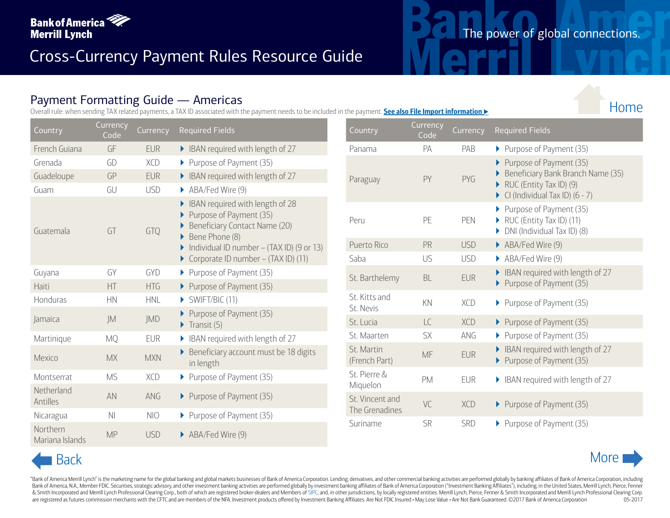

#### Payment Formatting Guide — Americas

Overall rule: when sending TAX related payments, a TAX ID associated with the payment needs to be included in the payment. **See also File Import information** 

| Country                     | <b>Currency</b><br>Code | Currency   | <b>Required Fields</b>                                                                                       | Country                     | Currency<br>Code |
|-----------------------------|-------------------------|------------|--------------------------------------------------------------------------------------------------------------|-----------------------------|------------------|
| French Guiana               | GF                      | <b>EUR</b> | BAN required with length of 27                                                                               | Panama                      | <b>PA</b>        |
| Grenada                     | GD                      | <b>XCD</b> | Purpose of Payment (35)                                                                                      |                             |                  |
| Guadeloupe                  | GP                      | <b>EUR</b> | BAN required with length of 27                                                                               | Paraguay                    | PY               |
| Guam                        | GU                      | <b>USD</b> | ABA/Fed Wire (9)                                                                                             |                             |                  |
| Guatemala                   | GT                      | GTQ        | BAN required with length of 28<br>Purpose of Payment (35)<br>Beneficiary Contact Name (20)<br>Bene Phone (8) | Peru                        | PE               |
|                             |                         |            | Individual ID number - (TAX ID) (9 or 13)                                                                    | Puerto Rico                 | PR               |
|                             |                         |            | Corporate ID number - (TAX ID) (11)                                                                          | Saba                        | US               |
| Guyana                      | GY                      | <b>GYD</b> | Purpose of Payment (35)                                                                                      | St. Barthelemy              | <b>BL</b>        |
| Haiti                       | HT                      | <b>HTG</b> | Purpose of Payment (35)                                                                                      |                             |                  |
| Honduras                    | <b>HN</b>               | <b>HNL</b> | $\triangleright$ SWIFT/BIC (11)                                                                              | St. Kitts and               | KN               |
| Jamaica                     | JM                      | JMD        | Purpose of Payment (35)<br>$\blacktriangleright$ Transit (5)                                                 | St. Nevis<br>St. Lucia      | LC               |
| Martinique                  | <b>MQ</b>               | <b>EUR</b> | BAN required with length of 27                                                                               | St. Maarten                 | SX               |
| Mexico                      | <b>MX</b>               | <b>MXN</b> | Beneficiary account must be 18 digits<br>in length                                                           | St. Martin<br>(French Part) | <b>MF</b>        |
| Montserrat                  | <b>MS</b>               | <b>XCD</b> | Purpose of Payment (35)                                                                                      | St. Pierre &                | <b>PM</b>        |
| Netherland<br>Antilles      | AN                      | ANG        | Purpose of Payment (35)                                                                                      | Miquelon<br>St. Vincent and | VC               |
| Nicaragua                   | N <sub>l</sub>          | <b>NIO</b> | Purpose of Payment (35)                                                                                      | The Grenadines              |                  |
| Northern<br>Mariana Islands | <b>MP</b>               | <b>USD</b> | ABA/Fed Wire (9)                                                                                             | Suriname                    | SR               |

|                  |                  |                   | ient Formatting Quide — Americas<br>ile: when sending TAX related payments, a TAX ID associated with the payment needs to be included in the payment. See also File Import information ▶ |                             |                  |            |                                                                                                                      |
|------------------|------------------|-------------------|------------------------------------------------------------------------------------------------------------------------------------------------------------------------------------------|-----------------------------|------------------|------------|----------------------------------------------------------------------------------------------------------------------|
| ry               | Currency<br>Code | Currency          | <b>Required Fields</b>                                                                                                                                                                   | Country                     | Currency<br>Code | Currency   | <b>Required Fields</b>                                                                                               |
| Guiana           | GF               | <b>EUR</b>        | BAN required with length of 27                                                                                                                                                           | Panama                      | PA               | PAB        | Purpose of Payment (35)                                                                                              |
| la<br>loupe      | GD<br>GP         | XCD<br><b>EUR</b> | Purpose of Payment (35)<br>BAN required with length of 27                                                                                                                                | Paraguay                    | PY               | PYG        | Purpose of Payment (35)<br>Beneficiary Bank Branch Name (35)                                                         |
|                  | GU               | <b>USD</b>        | ABA/Fed Wire (9)                                                                                                                                                                         |                             |                  |            | RUC (Entity Tax ID) $(9)$<br>$\triangleright$ CI (Individual Tax ID) (6 - 7)                                         |
| nala             | GT               | GTQ               | BAN required with length of 28<br>Purpose of Payment (35)<br>Beneficiary Contact Name (20)<br>Bene Phone (8)                                                                             | Peru                        | PE               | PEN        | Purpose of Payment (35)<br>$\triangleright$ RUC (Entity Tax ID) (11)<br>$\triangleright$ DNI (Individual Tax ID) (8) |
|                  |                  |                   | Individual ID number - $(TAX ID)$ (9 or 13)                                                                                                                                              | Puerto Rico                 | PR               | <b>USD</b> | ABA/Fed Wire (9)                                                                                                     |
|                  |                  |                   | Corporate ID number $-$ (TAX ID) (11)                                                                                                                                                    | Saba                        | US               | <b>USD</b> | ABA/Fed Wire (9)                                                                                                     |
|                  | GY<br>HT         | GYD<br><b>HTG</b> | ▶ Purpose of Payment (35)<br>▶ Purpose of Payment (35)                                                                                                                                   | St. Barthelemy              | BL               | <b>EUR</b> | BAN required with length of 27<br>Purpose of Payment (35)                                                            |
| ras              | HN               | <b>HNL</b>        | $\triangleright$ SWIFT/BIC (11)                                                                                                                                                          | St. Kitts and<br>St. Nevis  | KN               | XCD        | Purpose of Payment (35)                                                                                              |
|                  | JM               | JMD               | Purpose of Payment (35)<br>$\blacktriangleright$ Transit (5)                                                                                                                             | St. Lucia                   | LC               | <b>XCD</b> | Purpose of Payment (35)                                                                                              |
| ique             | <b>MQ</b>        | <b>EUR</b>        | BAN required with length of 27                                                                                                                                                           | St. Maarten                 | SX               | ANG        | Purpose of Payment (35)                                                                                              |
|                  | <b>MX</b>        | <b>MXN</b>        | Beneficiary account must be 18 digits<br>in length                                                                                                                                       | St. Martin<br>(French Part) | MF               | <b>EUR</b> | BAN required with length of 27<br>Purpose of Payment (35)                                                            |
| errat            | <b>MS</b>        | XCD               | ▶ Purpose of Payment (35)                                                                                                                                                                | St. Pierre &<br>Miquelon    | PM               | EUR        | BAN required with length of 27                                                                                       |
| land             | AN               | ANG               | ▶ Purpose of Payment (35)                                                                                                                                                                | St. Vincent and             | VC               | XCD        | Purpose of Payment (35)                                                                                              |
| gua              | N <sub>1</sub>   | <b>NIO</b>        | Purpose of Payment (35)                                                                                                                                                                  | The Grenadines              |                  |            |                                                                                                                      |
| 2rn<br>a Islands | <b>MP</b>        | <b>USD</b>        | ABA/Fed Wire (9)                                                                                                                                                                         | Suriname                    | SR               | SRD        | Purpose of Payment (35)                                                                                              |
| <b>Back</b>      |                  |                   |                                                                                                                                                                                          |                             |                  |            |                                                                                                                      |

"Bank of America Merrill Lynch" is the marketing name for the global banking and global markets businesses of Bank of America Corporation. Lending, derivatives, and other commercial banking activities are performed globall Bank of America, N.A., Member FDIC. Securities, strategic advisory, and other investment banking activities are performed globally by investment banking affiliates of Bank of America Corporation ("Investment Banking Affili & Smith Incorporated and Merrill Lynch Professional Clearing Corp., both of which are registered broker-dealers and Members of [SIPC,](http://www.sipc.org) and, in other jurisdictions, by locally registered entities. Merrill Lynch, Pierce, Fenne are registered as futures commission merchants with the CFTC and are members of the NFA. Investment products offered by Investment Banking Affiliates: Are Not FDIC Insured . May Lose Value . Are Not Bank Guaranteed. @2017



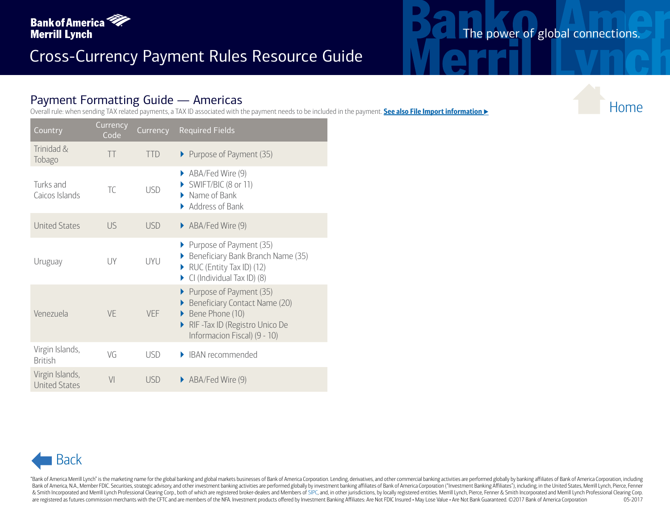

#### Payment Formatting Guide — Americas

|                                         |                       |            | $r$ ayment Formatting Guide $r$ Americas<br>Overall rule: when sending TAX related payments, a TAX ID associated with the payment needs to be included in the payment. See also File Import information ▶ |
|-----------------------------------------|-----------------------|------------|-----------------------------------------------------------------------------------------------------------------------------------------------------------------------------------------------------------|
| Country                                 | Currency<br>Code      | Currency   | <b>Required Fields</b>                                                                                                                                                                                    |
| Trinidad &<br>Tobago                    | $\top\top$            | <b>TTD</b> | Purpose of Payment (35)                                                                                                                                                                                   |
| Turks and<br>Caicos Islands             | $\top \!\! \mathsf C$ | <b>USD</b> | ABA/Fed Wire (9)<br>SWIFT/BIC (8 or 11)<br>$\blacktriangleright$ Name of Bank<br>Address of Bank                                                                                                          |
| <b>United States</b>                    | <b>US</b>             | <b>USD</b> | ABA/Fed Wire (9)                                                                                                                                                                                          |
| Uruguay                                 | UY                    | UYU        | Purpose of Payment (35)<br>Beneficiary Bank Branch Name (35)<br>$\triangleright$ RUC (Entity Tax ID) (12)<br>$\triangleright$ CI (Individual Tax ID) (8)                                                  |
| Venezuela                               | VE                    | VEF        | Purpose of Payment (35)<br>Beneficiary Contact Name (20)<br>Bene Phone (10)<br>RIF-Tax ID (Registro Unico De<br>Informacion Fiscal) (9 - 10)                                                              |
| Virgin Islands,<br><b>British</b>       | VG                    | <b>USD</b> | • IBAN recommended                                                                                                                                                                                        |
| Virgin Islands,<br><b>United States</b> | V <sub>l</sub>        | <b>USD</b> | ABA/Fed Wire (9)                                                                                                                                                                                          |
|                                         |                       |            |                                                                                                                                                                                                           |
|                                         |                       |            |                                                                                                                                                                                                           |
| <b>Back</b>                             |                       |            |                                                                                                                                                                                                           |



"Bank of America Merrill Lynch" is the marketing name for the global banking and global markets businesses of Bank of America Corporation. Lending, derivatives, and other commercial banking activities are performed globall Bank of America, N.A., Member FDIC. Securities, strategic advisory, and other investment banking activities are performed globally by investment banking affiliates of Bank of America Corporation ("Investment Banking Affili & Smith Incorporated and Merrill Lynch Professional Clearing Corp., both of which are registered broker-dealers and Members of [SIPC,](http://www.sipc.org) and, in other jurisdictions, by locally registered entities. Merrill Lynch, Pierce, Fenne are registered as futures commission merchants with the CFTC and are members of the NFA. Investment products offered by Investment Banking Affiliates: Are Not FDIC Insured . May Lose Value . Are Not Bank Guaranteed. @2017

## The power of global connections.